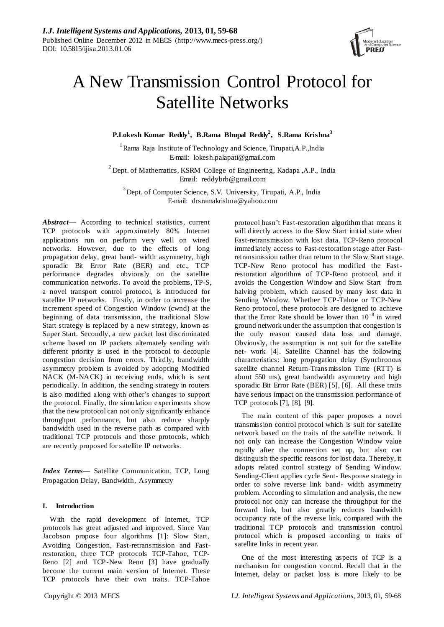

# A New Transmission Control Protocol for Satellite Networks

**P.Lokesh Kumar Reddy<sup>1</sup> , B.Rama Bhupal Reddy<sup>2</sup> , ´S.Rama Krishna<sup>3</sup>**

<sup>1</sup> Rama Raja Institute of Technology and Science, Tirupati,A.P.,India E-mail: lokesh.palapati@gmail.com

 $2^{2}$  Dept. of Mathematics, KSRM College of Engineering, Kadapa ,A.P., India Email: reddybrb@gmail.com

<sup>3</sup> Dept. of Computer Science, S.V. University, Tirupati, A.P., India E-mail: drsramakrishna@yahoo.com

*Abstract***—** According to technical statistics, current TCP protocols with approximately 80% Internet applications run on perform very well on wired networks. However, due to the effects of long propagation delay, great band- width asymmetry, high sporadic Bit Error Rate (BER) and etc., TCP performance degrades obviously on the satellite communication networks. To avoid the problems, TP-S, a novel transport control protocol, is introduced for satellite IP networks. Firstly, in order to increase the increment speed of Congestion Window (cwnd) at the beginning of data transmission, the traditional Slow Start strategy is replaced by a new strategy, known as Super Start. Secondly, a new packet lost discriminated scheme based on IP packets alternately sending with different priority is used in the protocol to decouple congestion decision from errors. Thirdly, bandwidth asymmetry problem is avoided by adopting Modified NACK (M-NACK) in receiving ends, which is sent periodically. In addition, the sending strategy in routers is also modified along with other"s changes to support the protocol. Finally, the simulation experiments show that the new protocol can not only significantly enhance throughput performance, but also reduce sharply bandwidth used in the reverse path as compared with traditional TCP protocols and those protocols, which are recently proposed for satellite IP networks.

*Index Terms—* Satellite Communication, TCP, Long Propagation Delay, Bandwidth, Asymmetry

# **I. Introduction**

With the rapid development of Internet, TCP protocols has great adjusted and improved. Since Van Jacobson propose four algorithms [1]: Slow Start, Avoiding Congestion, Fast-retransmission and Fastrestoration, three TCP protocols TCP-Tahoe, TCP-Reno [2] and TCP-New Reno [3] have gradually become the current main version of Internet. These TCP protocols have their own traits. TCP-Tahoe

protocol hasn"t Fast-restoration algorithm that means it will directly access to the Slow Start initial state when Fast-retransmission with lost data. TCP-Reno protocol immediately access to Fast-restoration stage after Fastretransmission rather than return to the Slow Start stage. TCP-New Reno protocol has modified the Fastrestoration algorithms of TCP-Reno protocol, and it avoids the Congestion Window and Slow Start from halving problem, which caused by many lost data in Sending Window. Whether TCP-Tahoe or TCP-New Reno protocol, these protocols are designed to achieve that the Error Rate should be lower than  $10^{-8}$  in wired ground network under the assumption that congestion is the only reason caused data loss and damage. Obviously, the assumption is not suit for the satellite net- work [4]. Satellite Channel has the following characteristics: long propagation delay (Synchronous satellite channel Return-Trans mission Time (RTT) is about 550 ms), great bandwidth asymmetry and high sporadic Bit Error Rate (BER) [5], [6]. All these traits have serious impact on the transmission performance of TCP protocols [7], [8], [9].

The main content of this paper proposes a novel transmission control protocol which is suit for satellite network based on the traits of the satellite network. It not only can increase the Congestion Window value rapidly after the connection set up, but also can distinguish the specific reasons for lost data. Thereby, it adopts related control strategy of Sending Window. Sending-Client applies cycle Sent- Response strategy in order to solve reverse link band- width asymmetry problem. According to simulation and analysis, the new protocol not only can increase the throughput for the forward link, but also greatly reduces bandwidth occupancy rate of the reverse link, compared with the traditional TCP protocols and transmission control protocol which is proposed according to traits of satellite links in recent year.

One of the most interesting aspects of TCP is a mechanis m for congestion control. Recall that in the Internet, delay or packet loss is more likely to be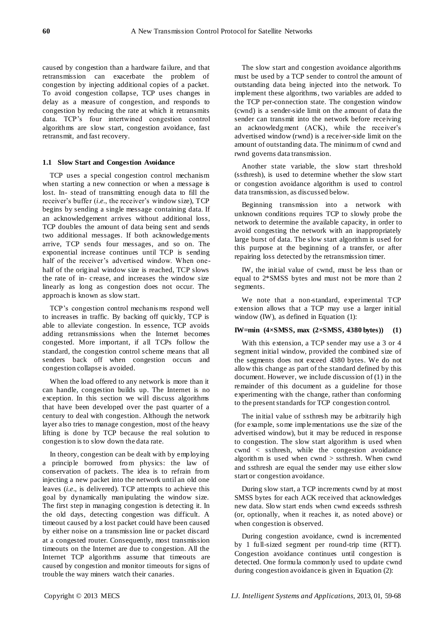caused by congestion than a hardware failure, and that retransmission can exacerbate the problem of congestion by injecting additional copies of a packet. To avoid congestion collapse, TCP uses changes in delay as a measure of congestion, and responds to congestion by reducing the rate at which it retransmits data. TCP"s four intertwined congestion control algorithms are slow start, congestion avoidance, fast retransmit, and fast recovery.

#### **1.1 Slow Start and Congestion Avoidance**

TCP uses a special congestion control mechanism when starting a new connection or when a message is lost. In- stead of transmitting enough data to fill the receiver's buffer *(<i>i.e.*, the receiver's window size), TCP begins by sending a single message containing data. If an acknowledgement arrives without additional loss, TCP doubles the amount of data being sent and sends two additional messages. If both acknowledgements arrive, TCP sends four messages, and so on. The exponential increase continues until TCP is sending half of the receiver's advertised window. When onehalf of the original window size is reached, TCP slows the rate of in- crease, and increases the window size linearly as long as congestion does not occur. The approach is known as slow start.

TCP"s congestion control mechanis ms respond well to increases in traffic. By backing off quickly, TCP is able to alleviate congestion. In essence, TCP avoids adding retransmissions when the Internet becomes congested. More important, if all TCPs follow the standard, the congestion control scheme means that all senders back off when congestion occurs and congestion collapse is avoided.

When the load offered to any network is more than it can handle, congestion builds up. The Internet is no exception. In this section we will discuss algorithms that have been developed over the past quarter of a century to deal with congestion. Although the network layer also tries to manage congestion, most of the heavy lifting is done by TCP because the real solution to congestion is to slow down the data rate.

In theory, congestion can be dealt with by employing a principle borrowed from physics: the law of conservation of packets. The idea is to refrain from injecting a new packet into the network until an old one leaves (*i.e*., is delivered). TCP attempts to achieve this goal by dynamically manipulating the window size. The first step in managing congestion is detecting it. In the old days, detecting congestion was difficult. A timeout caused by a lost packet could have been caused by either noise on a transmission line or packet discard at a congested router. Consequently, most transmission timeouts on the Internet are due to congestion. All the Internet TCP algorithms assume that timeouts are caused by congestion and monitor timeouts for signs of trouble the way miners watch their canaries.

The slow start and congestion avoidance algorithms must be used by a TCP sender to control the amount of outstanding data being injected into the network. To implement these algorithms, two variables are added to the TCP per-connection state. The congestion window (cwnd) is a sender-side limit on the amount of data the sender can transmit into the network before receiving an acknowledgment (ACK), while the receiver's advertised window (rwnd) is a receiver-side limit on the amount of outstanding data. The minimum of cwnd and rwnd governs data transmission.

Another state variable, the slow start threshold (ssthresh), is used to determine whether the slow start or congestion avoidance algorithm is used to control data transmission, as discussed below.

Beginning transmission into a network with unknown conditions requires TCP to slowly probe the network to determine the available capacity, in order to avoid congesting the network with an inappropriately large burst of data. The slow start algorithm is used for this purpose at the beginning of a transfer, or after repairing loss detected by the retransmission timer.

IW, the initial value of cwnd, must be less than or equal to 2\*SMSS bytes and must not be more than 2 segments.

We note that a non-standard, experimental TCP extension allows that a TCP may use a larger initial window (IW), as defined in Equation (1):

# **IW=min (4×SMSS, max (2×SMSS, 4380 bytes)) (1)**

With this extension, a TCP sender may use a 3 or 4 segment initial window, provided the combined size of the segments does not exceed 4380 bytes. We do not allow this change as part of the standard defined by this document. However, we include discussion of (1) in the remainder of this document as a guideline for those experimenting with the change, rather than conforming to the present standards for TCP congestion control.

The initial value of ssthresh may be arbitrarily high (for example, some implementations use the size of the advertised window), but it may be reduced in response to congestion. The slow start algorithm is used when cwnd < ssthresh, while the congestion avoidance algorithm is used when cwnd > ssthresh. When cwnd and ssthresh are equal the sender may use either slow start or congestion avoidance.

During slow start, a TCP increments cwnd by at most SMSS bytes for each ACK received that acknowledges new data. Slow start ends when cwnd exceeds ssthresh (or, optionally, when it reaches it, as noted above) or when congestion is observed.

During congestion avoidance, cwnd is incremented by 1 full-sized segment per round-trip time (RTT). Congestion avoidance continues until congestion is detected. One formula commonly used to update cwnd during congestion avoidance is given in Equation (2):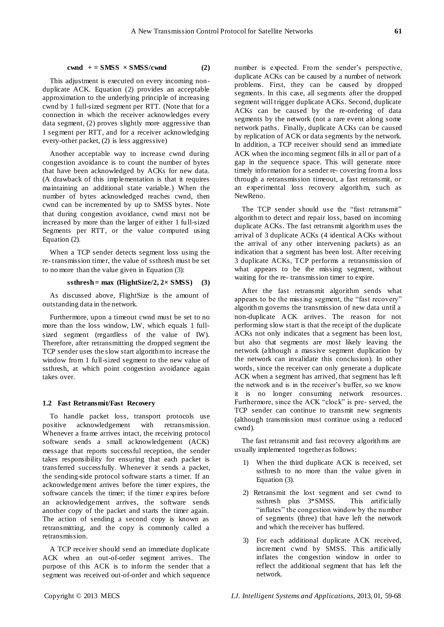### $c \text{wnd } + = \text{SMSS } \times \text{SMSS}/\text{cwnd}$  (2)

This adjustment is executed on every incoming nonduplicate ACK. Equation (2) provides an acceptable approximation to the underlying principle of increasing cwnd by 1 full-sized segment per RTT. (Note that for a connection in which the receiver acknowledges every data segment, (2) proves slightly more aggressive than 1 segment per RTT, and for a receiver acknowledging every-other packet, (2) is less aggressive)

Another acceptable way to increase cwnd during congestion avoidance is to count the number of bytes that have been acknowledged by ACKs for new data. (A drawback of this implementation is that it requires maintaining an additional state variable.) When the number of bytes acknowledged reaches cwnd, then cwnd can be incremented by up to SMSS bytes. Note that during congestion avoidance, cwnd must not be increased by more than the larger of either 1 full-sized Segments per RTT, or the value computed using Equation (2).

When a TCP sender detects segment loss using the re- transmission timer, the value of ssthresh must be set to no more than the value given in Equation (3):

## $ssthresh = max (FlightSize/2, 2 \times SMSS)$  (3)

As discussed above, FlightSize is the amount of outstanding data in the network.

Furthermore, upon a timeout cwnd must be set to no more than the loss window, LW, which equals 1 fullsized segment (regardless of the value of IW). Therefore, after retransmitting the dropped segment the TCP sender uses the slow start algorithm to increase the window from 1 full-sized segment to the new value of ssthresh, at which point congestion avoidance again takes over.

#### **1.2 Fast Retransmit/Fast Recovery**

To handle packet loss, transport protocols use positive acknowledgement with retransmission. Whenever a frame arrives intact, the receiving protocol software sends a small acknowledgement (ACK) message that reports successful reception, the sender takes responsibility for ensuring that each packet is transferred successfully. Whenever it sends a packet, the sending-side protocol software starts a timer. If an acknowledgement arrives before the timer expires, the software cancels the timer; if the timer expires before an acknowledgement arrives, the software sends another copy of the packet and starts the timer again. The action of sending a second copy is known as retransmitting, and the copy is commonly called a retransmission.

A TCP receiver should send an immediate duplicate ACK when an out-of-order segment arrives. The purpose of this ACK is to inform the sender that a segment was received out-of-order and which sequence number is expected. From the sender's perspective, duplicate ACKs can be caused by a number of network problems. First, they can be caused by dropped segments. In this case, all segments after the dropped segment will trigger duplicate ACKs. Second, duplicate ACKs can be caused by the re-ordering of data segments by the network (not a rare event along some network paths. Finally, duplicate ACKs can be caused by replication of ACK or data segments by the network. In addition, a TCP receiver should send an immediate ACK when the incoming segment fills in all or part of a gap in the sequence space. This will generate more timely information for a sender re- covering from a loss through a retransmission timeout, a fast retransmit, or an experimental loss recovery algorithm, such as NewReno.

The TCP sender should use the "fast retransmit" algorithm to detect and repair loss, based on incoming duplicate ACKs. The fast retransmit algorithm uses the arrival of 3 duplicate ACKs (4 identical ACKs without the arrival of any other intervening packets) as an indication that a segment has been lost. After receiving 3 duplicate ACKs, TCP performs a retransmission of what appears to be the missing segment, without waiting for the re- transmission timer to expire.

After the fast retransmit algorithm sends what appears to be the missing segment, the "fast recovery" algorithm governs the transmission of new data until a non-duplicate ACK arrives. The reason for not performing slow start is that the receipt of the duplicate ACKs not only indicates that a segment has been lost, but also that segments are most likely leaving the network (although a massive segment duplication by the network can invalidate this conclusion). In other words, since the receiver can only generate a duplicate ACK when a segment has arrived, that segment has left the network and is in the receiver"s buffer, so we know it is no longer consuming network resources. Furthermore, since the ACK "clock" is pre- served, the TCP sender can continue to transmit new segments (although transmission must continue using a reduced cwnd).

The fast retransmit and fast recovery algorithms are usually implemented together as follows:

- 1) When the third duplicate ACK is received, set ssthresh to no more than the value given in Equation (3).
- 2) Retransmit the lost segment and set cwnd to ssthresh plus 3\*SMSS. This artificially "inflates" the congestion window by the number of segments (three) that have left the network and which the receiver has buffered.
- 3) For each additional duplicate ACK received, increment cwnd by SMSS. This artificially inflates the congestion window in order to reflect the additional segment that has left the network.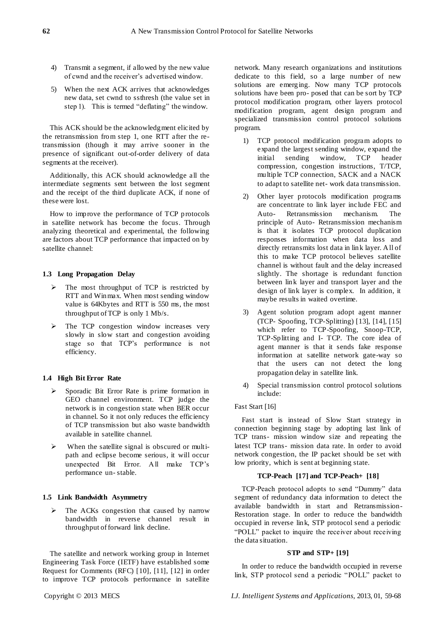- 4) Transmit a segment, if allowed by the new value of cwnd and the receiver"s advertised window.
- 5) When the next ACK arrives that acknowledges new data, set cwnd to ssthresh (the value set in step 1). This is termed "deflating" the window.

This ACK should be the acknowledgment elicited by the retransmission from step 1, one RTT after the retransmission (though it may arrive sooner in the presence of significant out-of-order delivery of data segments at the receiver).

Additionally, this ACK should acknowledge all the intermediate segments sent between the lost segment and the receipt of the third duplicate ACK, if none of these were lost.

How to improve the performance of TCP protocols in satellite network has become the focus. Through analyzing theoretical and experimental, the following are factors about TCP performance that impacted on by satellite channel:

# **1.3 Long Propagation Delay**

- The most throughput of TCP is restricted by RTT and Winmax. When most sending window value is 64Kbytes and RTT is 550 ms, the most throughput of TCP is only 1 Mb/s.
- The TCP congestion window increases very slowly in slow start and congestion avoiding stage so that TCP"s performance is not efficiency.

# **1.4 High Bit Error Rate**

- Sporadic Bit Error Rate is prime formation in GEO channel environment. TCP judge the network is in congestion state when BER occur in channel. So it not only reduces the efficiency of TCP transmission but also waste bandwidth available in satellite channel.
- $\triangleright$  When the satellite signal is obscured or multipath and eclipse become serious, it will occur unexpected Bit Error. All make TCP"s performance un- stable.

## **1.5 Link Bandwidth Asymmetry**

 $\triangleright$  The ACKs congestion that caused by narrow bandwidth in reverse channel result in throughput of forward link decline.

The satellite and network working group in Internet Engineering Task Force (IETF) have established some Request for Comments (RFC) [10], [11], [12] in order to improve TCP protocols performance in satellite

network. Many research organizations and institutions dedicate to this field, so a large number of new solutions are emerging. Now many TCP protocols solutions have been pro- posed that can be sort by TCP protocol modification program, other layers protocol modification program, agent design program and specialized transmission control protocol solutions program.

- 1) TCP protocol modification program adopts to expand the largest sending window, expand the initial sending window, TCP header compression, congestion instructions, T/TCP, multiple TCP connection, SACK and a NACK to adapt to satellite net- work data transmission.
- 2) Other layer protocols modification programs are concentrate to link layer include FEC and Auto- Retransmission mechanism. The principle of Auto- Retransmission mechanism is that it isolates TCP protocol duplication responses information when data loss and directly retransmits lost data in link layer. All of this to make TCP protocol believes satellite channel is without fault and the delay increased slightly. The shortage is redundant function between link layer and transport layer and the design of link layer is complex. In addition, it maybe results in waited overtime.
- 3) Agent solution program adopt agent manner (TCP- Spoofing, TCP-Splitting) [13], [14], [15] which refer to TCP-Spoofing, Snoop-TCP, TCP-Splitting and I- TCP. The core idea of agent manner is that it sends fake response information at satellite network gate-way so that the users can not detect the long propagation delay in satellite link.
- 4) Special transmission control protocol solutions include:

# Fast Start [16]

Fast start is instead of Slow Start strategy in connection beginning stage by adopting last link of TCP trans- mission window size and repeating the latest TCP trans- mission data rate. In order to avoid network congestion, the IP packet should be set with low priority, which is sent at beginning state.

# **TCP-Peach [17] and TCP-Peach+ [18]**

TCP-Peach protocol adopts to send "Dummy" data segment of redundancy data information to detect the available bandwidth in start and Retransmission-Restoration stage. In order to reduce the bandwidth occupied in reverse link, STP protocol send a periodic "POLL" packet to inquire the receiver about receiving the data situation.

#### **STP and STP+ [19]**

In order to reduce the bandwidth occupied in reverse link, STP protocol send a periodic "POLL" packet to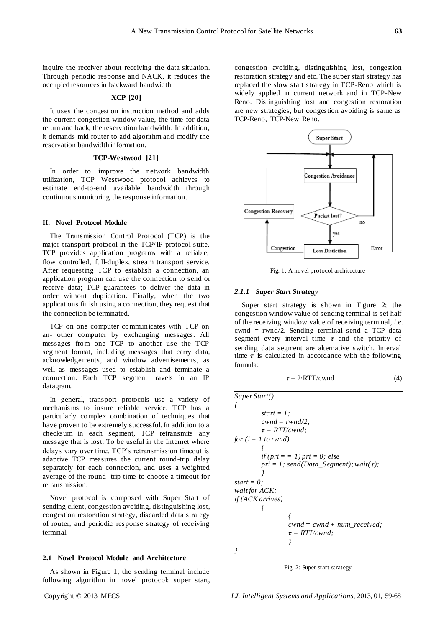inquire the receiver about receiving the data situation. Through periodic response and NACK, it reduces the occupied resources in backward bandwidth

# **XCP [20]**

It uses the congestion instruction method and adds the current congestion window value, the time for data return and back, the reservation bandwidth. In addition, it demands mid router to add algorithm and modify the reservation bandwidth information.

# **TCP-Westwood [21]**

In order to improve the network bandwidth utilization, TCP Westwood protocol achieves to estimate end-to-end available bandwidth through continuous monitoring the response information.

#### **II. Novel Protocol Module**

The Transmission Control Protocol (TCP) is the major transport protocol in the TCP/IP protocol suite. TCP provides application programs with a reliable, flow controlled, full-duplex, stream transport service. After requesting TCP to establish a connection, an application program can use the connection to send or receive data; TCP guarantees to deliver the data in order without duplication. Finally, when the two applications finish using a connection, they request that the connection be terminated.

TCP on one computer communicates with TCP on an- other computer by exchanging messages. All messages from one TCP to another use the TCP segment format, including messages that carry data, acknowledgements, and window advertisements, as well as messages used to establish and terminate a connection. Each TCP segment travels in an IP datagram.

In general, transport protocols use a variety of mechanis ms to insure reliable service. TCP has a particularly complex combination of techniques that have proven to be extremely successful. In addition to a checksum in each segment, TCP retransmits any message that is lost. To be useful in the Internet where delays vary over time, TCP"s retransmission timeout is adaptive TCP measures the current round-trip delay separately for each connection, and uses a weighted average of the round- trip time to choose a timeout for retransmission.

Novel protocol is composed with Super Start of sending client, congestion avoiding, distinguishing lost, congestion restoration strategy, discarded data strategy of router, and periodic response strategy of receiving terminal.

# **2.1 Novel Protocol Module and Architecture**

As shown in Figure 1, the sending terminal include following algorithm in novel protocol: super start, congestion avoiding, distinguishing lost, congestion restoration strategy and etc. The super start strategy has replaced the slow start strategy in TCP-Reno which is widely applied in current network and in TCP-New Reno. Distinguishing lost and congestion restoration are new strategies, but congestion avoiding is same as TCP-Reno, TCP-New Reno.



Fig. 1: A novel protocol architecture

# *2.1.1 Super Start Strategy*

Super start strategy is shown in Figure 2; the congestion window value of sending terminal is set half of the receiving window value of receiving terminal, *i.e*. cwnd = rwnd/2. Sending terminal send a TCP data segment every interval time *τ* and the priority of sending data segment are alternative switch. Interval time  $\tau$  is calculated in accordance with the following formula:

$$
\tau = 2 \text{ RTT}/\text{cwnd} \tag{4}
$$

| SuperStart()                                                                       |                                        |
|------------------------------------------------------------------------------------|----------------------------------------|
| \n $f$ \n                                                                          | \n $start = 1;$ \n $cwnd = rwnd/2;$ \n |
| \n $f = RTf/cwnd;$ \n                                                              |                                        |
| \n $for (i = 1 \text{ to rwnd})$ \n                                                |                                        |
| \n $if (pri = 1) pri = 0; else$ \n $pri = 1; send (Data\_Segment); wait(\tau);$ \n |                                        |
| \n $start = 0;$ \n $wait for ACK;$ \n                                              |                                        |
| \n $if (ACK arrives)$ \n                                                           |                                        |
| \n $f$ \n                                                                          | \n $cwnd = cwnd + num\_received;$ \n   |
| \n $f = RTT/cwnd;$ \n                                                              |                                        |

Fig. 2: Super start strategy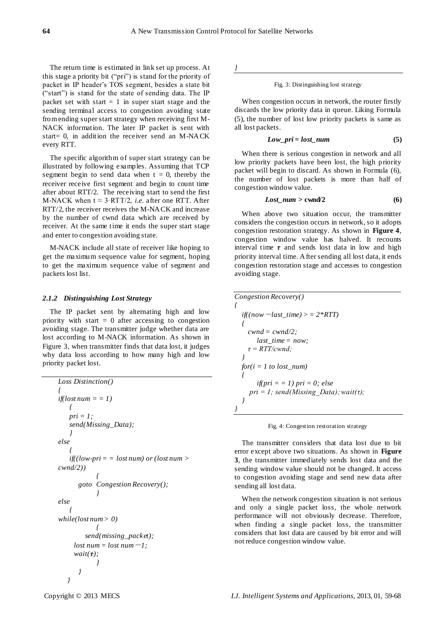The return time is estimated in link set up process. At this stage a priority bit ("pri") is stand for the priority of packet in IP header"s TOS segment, besides a state bit ("start") is stand for the state of sending data. The IP packet set with start  $= 1$  in super start stage and the sending terminal access to congestion avoiding state from ending super start strategy when receiving first M-NACK information. The later IP packet is sent with start= 0, in addition the receiver send an M-NACK every RTT.

The specific algorithm of super start strategy can be illustrated by following examples. Assuming that TCP segment begin to send data when  $t = 0$ , thereby the receiver receive first segment and begin to count time after about RTT/2. The receiving start to send the first M-NACK when  $t \approx 3$ ·RTT/2, *i.e.* after one RTT. After RTT/2, the receiver receives the M-NACK and increase by the number of cwnd data which are received by receiver. At the same time it ends the super start stage and enter to congestion avoiding state.

M-NACK include all state of receiver like hoping to get the maximum sequence value for segment, hoping to get the maximum sequence value of segment and packets lost list.

# *2.1.2 Distinguishing Lost Strategy*

The IP packet sent by alternating high and low priority with start  $= 0$  after accessing to congestion avoiding stage. The transmitter judge whether data are lost according to M-NACK information. As shown in Figure 3, when transmitter finds that data lost, it judges why data loss according to how many high and low priority packet lost.

```
Loss Distinction()
{
if(lost num = = 1)
   {
   pri = 1;
   send(Missing_Data);
   }
else
    {
   if((low-pri = = lost num) or (lost num > 
cwnd/2))
             {
      goto Congestion Recovery();
            }
else
   {
while(lost num > 0)
            {
        send(missing_packet);
     lost num = lost num - 1;wait(τ);
            }
       }
   }
```
*}*

Fig. 3: Distinguishing lost strategy

When congestion occurs in network, the router firstly discards the low priority data in queue. Liking Formula (5), the number of lost low priority packets is same as all lost packets.

$$
Low\_pri = lost\_num
$$
 (5)

When there is serious congestion in network and all low priority packets have been lost, the high priority packet will begin to discard. As shown in Formula (6), the number of lost packets is more than half of congestion window value.

$$
Loss\_num > \text{cwnd}/2 \tag{6}
$$

When above two situation occur, the transmitter considers the congestion occurs in network, so it adopts congestion restoration strategy. As shown in **Figure 4**, congestion window value has halved. It recounts interval time  $\tau$  and sends lost data in low and high priority interval time. After sending all lost data, it ends congestion restoration stage and accesses to congestion avoiding stage.

```
Congestion Recovery()
{
  if((now - last\_time) > = 2*RTT){
    cwnd = cwnd/2;
       last_time = now;
    τ = RTT/cwnd;
  }
  for(i = 1 to lost_num)
  {
       if(pri = = 1) pri = 0; else
    pri = 1; send(Missing_Data); wait(τ);
  }
}
```
Fig. 4: Congestion restoration strategy

The transmitter considers that data lost due to bit error except above two situations. As shown in **Figure 3**, the transmitter immediately sends lost data and the sending window value should not be changed. It access to congestion avoiding stage and send new data after sending all lost data.

When the network congestion situation is not serious and only a single packet loss, the whole network performance will not obviously decrease. Therefore, when finding a single packet loss, the transmitter considers that lost data are caused by bit error and will not reduce congestion window value.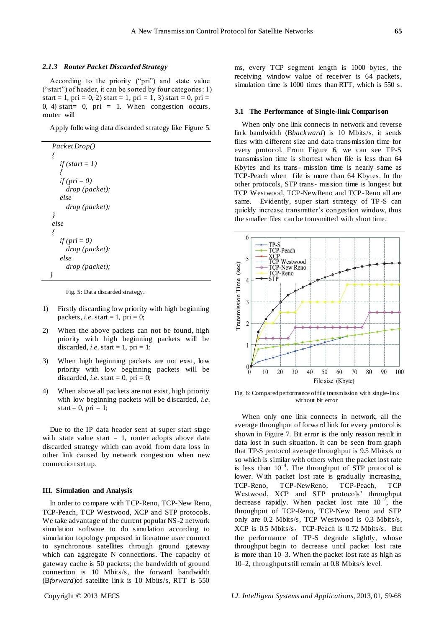# *2.1.3 Router Packet Discarded Strategy*

According to the priority ("pri") and state value ("start") of header, it can be sorted by four categories: 1) start = 1, pri = 0, 2) start = 1, pri = 1, 3) start = 0, pri = 0, 4) start= 0, pri = 1. When congestion occurs, router will

Apply following data discarded strategy like Figure 5.

```
Packet Drop()
{
   if (start = 1)
   {
   if (pri = 0)
     drop (packet);
   else
     drop (packet);
}
else
{
   if (pri = 0)
     drop (packet);
   else
     drop (packet);
}
```
Fig. 5: Data discarded strategy.

- 1) Firstly discarding low priority with high beginning packets, *i.e.* start = 1, pri = 0;
- 2) When the above packets can not be found, high priority with high beginning packets will be discarded, *i.e.* start = 1, pri = 1;
- 3) When high beginning packets are not exist, low priority with low beginning packets will be discarded, *i.e.* start = 0, pri = 0;
- 4) When above all packets are not exist, high priority with low beginning packets will be discarded, *i.e*. start = 0, pri = 1;

Due to the IP data header sent at super start stage with state value start  $= 1$ , router adopts above data discarded strategy which can avoid from data loss in other link caused by network congestion when new connection set up.

#### **III. Simulation and Analysis**

In order to compare with TCP-Reno, TCP-New Reno, TCP-Peach, TCP Westwood, XCP and STP protocols. We take advantage of the current popular NS-2 network simulation software to do simulation according to simulation topology proposed in literature user connect to synchronous satellites through ground gateway which can aggregate N connections. The capacity of gateway cache is 50 packets; the bandwidth of ground connection is 10 Mbits/s, the forward bandwidth (B*forward*)of satellite link is 10 Mbits/s, RTT is 550

ms, every TCP segment length is 1000 bytes, the receiving window value of receiver is 64 packets, simulation time is 1000 times than RTT, which is 550 s.

#### **3.1 The Performance of Single-link Comparison**

When only one link connects in network and reverse link bandwidth (B*backward*) is 10 Mbits/s, it sends files with different size and data trans mission time for every protocol. From Figure 6, we can see TP-S transmission time is shortest when file is less than 64 Kbytes and its trans- mission time is nearly same as TCP-Peach when file is more than 64 Kbytes. In the other protocols, STP trans- mission time is longest but TCP Westwood, TCP-NewReno and TCP-Reno all are same. Evidently, super start strategy of TP-S can quickly increase transmitter"s congestion window, thus the smaller files can be transmitted with short time.



Fig. 6: Compared performance of file transmission with single-link without bit error

When only one link connects in network, all the average throughput of forward link for every protocol is shown in Figure 7. Bit error is the only reason result in data lost in such situation. It can be seen from graph that TP-S protocol average throughput is 9.5 Mbits/s or so which is similar with others when the packet lost rate is less than  $10^{-4}$ . The throughput of STP protocol is lower. W ith packet lost rate is gradually increasing, TCP-Reno, TCP-NewReno, TCP-Peach, TCP Westwood, XCP and STP protocols' throughput decrease rapidly. When packet lost rate  $10^{-2}$ , the throughput of TCP-Reno, TCP-New Reno and STP only are 0.2 Mbits/s, TCP Westwood is 0.3 Mbits/s, XCP is 0.5 Mbits/s, TCP-Peach is 0.72 Mbits/s. But the performance of TP-S degrade slightly, whose throughput begin to decrease until packet lost rate is more than 10–3. When the packet lost rate as high as 10–2, throughput still remain at 0.8 Mbits/s level.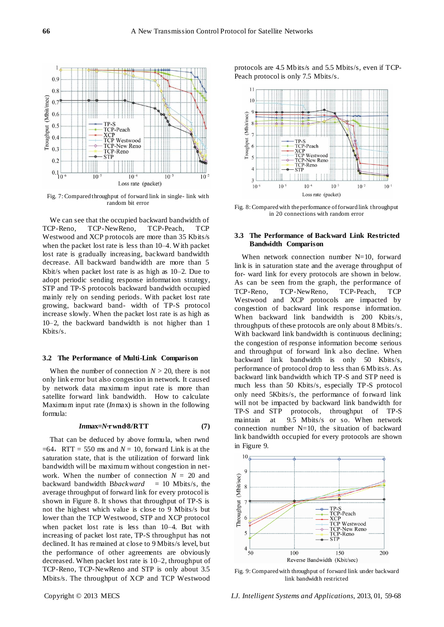

Fig. 7: Compared throughput of forward link in single- link with random bit error

We can see that the occupied backward bandwidth of TCP-Reno, TCP-NewReno, TCP-Peach, TCP Westwood and XCP protocols are more than 35 Kbits/s when the packet lost rate is less than 10–4. W ith packet lost rate is gradually increasing, backward bandwidth decrease. All backward bandwidth are more than 5 Kbit/s when packet lost rate is as high as 10–2. Due to adopt periodic sending response information strategy, STP and TP-S protocols backward bandwidth occupied mainly rely on sending periods. With packet lost rate growing, backward band- width of TP-S protocol increase slowly. When the packet lost rate is as high as 10–2, the backward bandwidth is not higher than 1 Kbits/s.

#### **3.2 The Performance of Multi-Link Comparison**

When the number of connection  $N > 20$ , there is not only link error but also congestion in network. It caused by network data maximum input rate is more than satellite forward link bandwidth. How to calculate Maximum input rate (*In*max) is shown in the following formula:

#### *In***max=***N·***rwnd***·***8/RTT (7)**

That can be deduced by above formula, when rwnd  $=64$ , RTT = 550 ms and *N* = 10, forward Link is at the saturation state, that is the utilization of forward link bandwidth will be maximum without congestion in network. When the number of connection  $N = 20$  and backward bandwidth B*backward* = 10 Mbits/s, the average throughput of forward link for every protocol is shown in Figure 8. It shows that throughput of TP-S is not the highest which value is close to 9 Mbits/s but lower than the TCP Westwood, STP and XCP protocol when packet lost rate is less than 10–4. But with increasing of packet lost rate, TP-S throughput has not declined. It has remained at close to 9 Mbits/s level, but the performance of other agreements are obviously decreased. When packet lost rate is 10–2, throughput of TCP-Reno, TCP-NewReno and STP is only about 3.5 Mbits/s. The throughput of XCP and TCP Westwood

protocols are 4.5 Mbits/s and 5.5 Mbits/s, even if TCP-Peach protocol is only 7.5 Mbits/s.



Fig. 8: Compared with the performance of forward link throughput in 20 connections with random error

# **3.3 The Performance of Backward Link Restricted Bandwidth Comparison**

When network connection number N=10, forward link is in saturation state and the average throughput of for- ward link for every protocols are shown in below. As can be seen from the graph, the performance of TCP-Reno, TCP-NewReno, TCP-Peach, TCP Westwood and XCP protocols are impacted by congestion of backward link response information. When backward link bandwidth is 200 Kbits/s, throughputs of these protocols are only about 8 Mbits/s. With backward link bandwidth is continuous declining; the congestion of response information become serious and throughput of forward link also decline. When backward link bandwidth is only 50 Kbits/s, performance of protocol drop to less than 6 Mbits/s. As backward link bandwidth which TP-S and STP need is much less than 50 Kbits/s, especially TP-S protocol only need 5Kbits/s, the performance of forward link will not be impacted by backward link bandwidth for TP-S and STP protocols, throughput of TP-S maintain at 9.5 Mbits/s or so. When network connection number  $N=10$ , the situation of backward link bandwidth occupied for every protocols are shown in Figure 9.



Fig. 9: Compared with throughput of forward link under backward link bandwidth restricted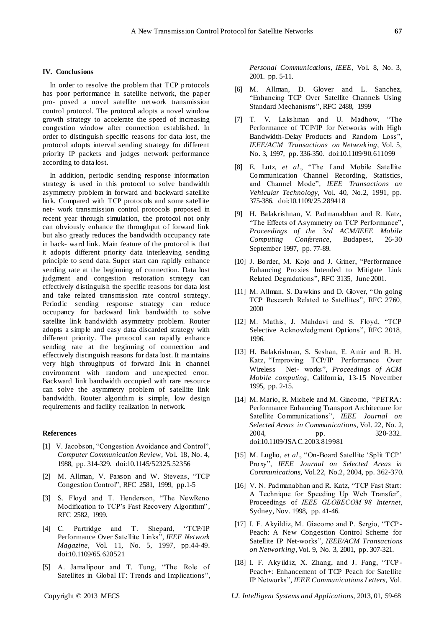#### **IV. Conclusions**

In order to resolve the problem that TCP protocols has poor performance in satellite network, the paper pro- posed a novel satellite network transmission control protocol. The protocol adopts a novel window growth strategy to accelerate the speed of increasing congestion window after connection established. In order to distinguish specific reasons for data lost, the protocol adopts interval sending strategy for different priority IP packets and judges network performance according to data lost.

In addition, periodic sending response information strategy is used in this protocol to solve bandwidth asymmetry problem in forward and backward satellite link. Compared with TCP protocols and some satellite net- work transmission control protocols proposed in recent year through simulation, the protocol not only can obviously enhance the throughput of forward link but also greatly reduces the bandwidth occupancy rate in back- ward link. Main feature of the protocol is that it adopts different priority data interleaving sending principle to send data. Super start can rapidly enhance sending rate at the beginning of connection. Data lost judgment and congestion restoration strategy can effectively distinguish the specific reasons for data lost and take related transmission rate control strategy. Periodic sending response strategy can reduce occupancy for backward link bandwidth to solve satellite link bandwidth asymmetry problem. Router adopts a simple and easy data discarded strategy with different priority. The protocol can rapidly enhance sending rate at the beginning of connection and effectively distinguish reasons for data lost. It maintains very high throughputs of forward link in channel environment with random and unexpected error. Backward link bandwidth occupied with rare resource can solve the asymmetry problem of satellite link bandwidth. Router algorithm is simple, low design requirements and facility realization in network.

#### **References**

- [1] V. Jacobson, "Congestion Avoidance and Control", *Computer Communication Review*, Vol. 18, No. 4, 1988, pp. 314-329. doi:10.1145/52325.52356
- [2] M. Allman, V. Paxson and W. Stevens, "TCP Congestion Control", RFC 2581, 1999, pp.1-5
- [3] S. Floyd and T. Henderson, "The NewReno Modification to TCP's Fast Recovery Algorithm", RFC 2582, 1999.
- [4] C. Partridge and T. Shepard, "TCP/IP Performance Over Satellite Links", *IEEE Network Magazine*, Vol. 11, No. 5, 1997, pp.44-49. doi:10.1109/65.620521
- [5] A. Jamalipour and T. Tung, "The Role of Satellites in Global IT: Trends and Implications",

*Personal Communications, IEEE*, Vol. 8, No. 3, 2001. pp. 5-11.

- [6] M. Allman, D. Glover and L. Sanchez, "Enhancing TCP Over Satellite Channels Using Standard Mechanisms", RFC 2488, 1999
- [7] T. V. Lakshman and U. Madhow, "The Performance of TCP/IP for Networks with High Bandwidth-Delay Products and Random Loss", *IEEE/ACM Transactions on Networking*, Vol. 5, No. 3, 1997, pp. 336-350. [doi:10.1109/90.611099](http://dx.doi.org/10.1109/90.611099)
- [8] E. Lutz, *et al*., "The Land Mobile Satellite Communication Channel Recording, Statistics, and Channel Mode", *IEEE Transactions on Vehicular Technology*, Vol. 40, No.2, 1991, pp. 375-386. [doi:10.1109/25.289418](http://dx.doi.org/10.1109/25.289418)
- [9] H. Balakrishnan, V. Padmanabhan and R. Katz, "The Effects of Asymmetry on TCP Performance", *Proceedings of the* 3*rd ACM/IEEE Mobile Computing Conference*, Budapest, 26-30 September 1997, pp. 77-89.
- [10] J. Border, M. Kojo and J. Griner, "Performance" Enhancing Proxies Intended to Mitigate Link Related Degradations", RFC 3135, June 2001.
- [11] M. Allman, S. Dawkins and D. Glover, "On going TCP Research Related to Satellites", RFC 2760, 2000
- [12] M. Mathis, J. Mahdavi and S. Floyd, "TCP Selective Acknowledgment Options", RFC 2018, 1996.
- [13] H. Balakrishnan, S. Seshan, E. Amir and R. H. Katz, "Improving TCP/IP Performance Over Wireless Net- works", *Proceedings of ACM Mobile computing*, California, 13-15 November 1995, pp. 2-15.
- [14] M. Mario, R. Michele and M. Giacomo, "PETRA: Performance Enhancing Transport Architecture for Satellite Communications", *IEEE Journal on Selected Areas in Communications*, Vol. 22, No. 2, 2004, pp. 320-332. [doi:10.1109/JSAC.2003.819981](http://dx.doi.org/10.1109/JSAC.2003.819981)
- [15] M. Luglio, *et al*., "On-Board Satellite "Split TCP" Proxy", *IEEE Journal on Selected Areas in Communications*, Vol.22, No.2, 2004, pp. 362-370.
- [16] V. N. Padmanabhan and R. Katz, "TCP Fast Start: A Technique for Speeding Up Web Transfer", Proceedings of *IEEE GLOBECOM'98 Internet*, Sydney, Nov. 1998, pp. 41-46.
- [17] I. F. Akyildiz, M. Giacomo and P. Sergio, "TCP-Peach: A New Congestion Control Scheme for Satellite IP Net-works", *IEEE/ACM Transactions on Networking*, Vol. 9, No. 3, 2001, pp. 307-321.
- [18] I. F. Akyildiz, X. Zhang, and J. Fang, "TCP-Peach+: Enhancement of TCP Peach for Satellite IP Networks", *IEEE Communications Letters*, Vol.

Copyright © 2013 MECS *I.J. Intelligent Systems and Applications,* 2013, 01, 59-68